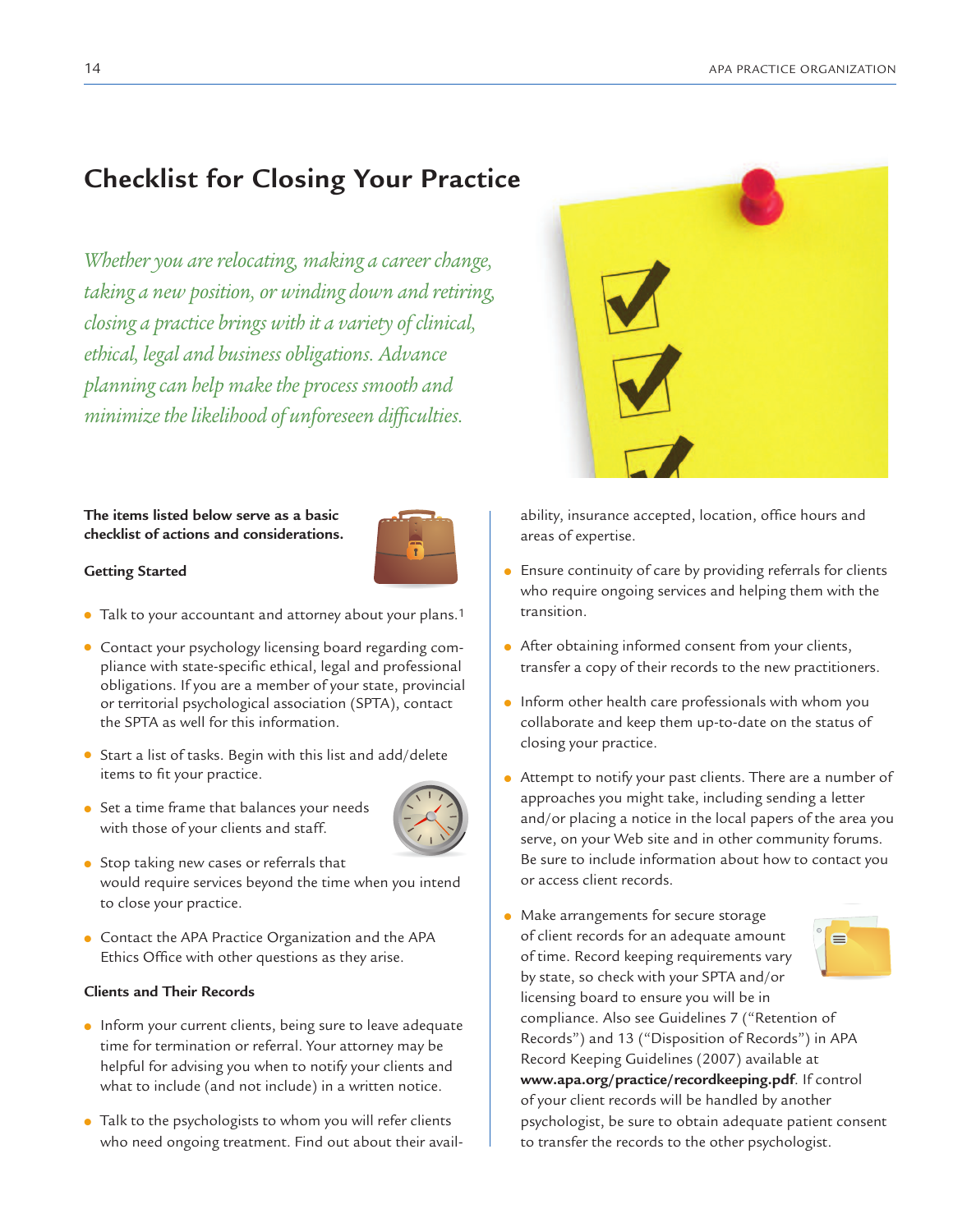# **Checklist for Closing Your Practice**

*Whether you are relocating, making a career change, taking a new position, or winding down and retiring, closing a practice brings with it a variety of clinical, ethical, legal and business obligations. Advance planningcan help makethe process smooth and minimizethelikelihood of unforeseen difficulties.*



## **The items listed below serve as a basic checklist of actions and considerations.**



### **Getting Started**

- Talk to your accountant and attorney about your plans.1
- Contact your psychology licensing board regarding compliance with state-specific ethical, legal and professional obligations. If you are a member of your state, provincial or territorial psychological association (SPTA), contact the SPTA as well for this information.
- Start a list of tasks. Begin with this list and add/delete items to fit your practice.
- Set a time frame that balances your needs with those of your clients and staff.



- Stop taking new cases or referrals that would require services beyond the time when you intend to close your practice.
- Contact the APA Practice Organization and the APA Ethics Office with other questions as they arise.

### **Clients and Their Records**

- Inform your current clients, being sure to leave adequate time for termination or referral. Your attorney may be helpful for advising you when to notify your clients and what to include (and not include) in a written notice.
- Talk to the psychologists to whom you will refer clients who need ongoing treatment. Find out about their avail-

ability, insurance accepted, location, office hours and areas of expertise.

- Ensure continuity of care by providing referrals for clients who require ongoing services and helping them with the transition.
- After obtaining informed consent from your clients, transfer a copy of their records to the new practitioners.
- Inform other health care professionals with whom you collaborate and keep them up-to-date on the status of closing your practice.
- Attempt to notify your past clients. There are a number of approaches you might take, including sending a letter and/or placing a notice in the local papers of the area you serve, on your Web site and in other community forums. Be sure to include information about how to contact you or access client records.
- Make arrangements for secure storage of client records for an adequate amount  $\blacksquare$ of time. Record keeping requirements vary by state, so check with your SPTA and/or licensing board to ensure you will be in compliance. Also see Guidelines 7 ("Retention of Records") and 13 ("Disposition of Records") in APA Record Keeping Guidelines (2007) available at **www.apa.org/practice/recordkeeping.pdf**. If control of your client records will be handled by another psychologist, be sure to obtain adequate patient consent to transfer the records to the other psychologist.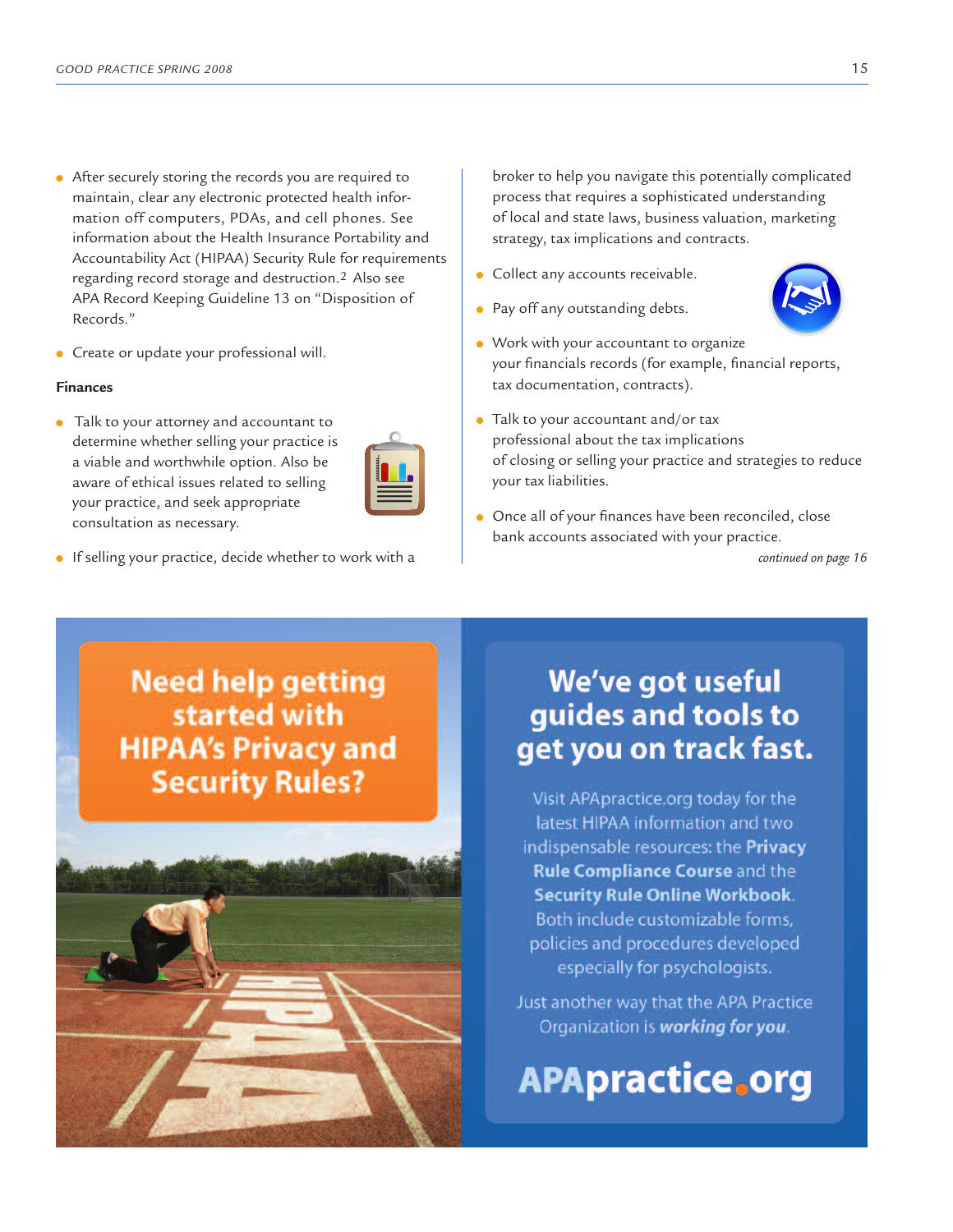- After securely storing the records you are required to maintain, clear any electronic protected health information off computers, PDAs, and cell phones. See information about the Health Insurance Portability and Accountability Act (HIPAA) Security Rule for requirements regarding record storage and destruction.2 Also see APA Record Keeping Guideline 13 on "Disposition of Records."
- Create or update your professional will.

#### **Finances**

● Talk to your attorney and accountant to determine whether selling your practice is a viable and worthwhile option. Also be aware of ethical issues related to selling your practice, and seek appropriate consultation as necessary.



● If selling your practice, decide whether to work with a

broker to help you navigate this potentially complicated process that requires a sophisticated understanding of local and state laws, business valuation, marketing strategy, tax implications and contracts.

● Collect any accounts receivable.

● Pay off any outstanding debts.



- Work with your accountant to organize your financials records (for example, financial reports, tax documentation, contracts).
- Talk to your accountant and/or tax professional about the tax implications of closing or selling your practice and strategies to reduce your tax liabilities.
- Once all of your finances have been reconciled, close bank accounts associated with your practice.

*continued on page 16*

# **Need help getting** started with **HIPAA's Privacy and Security Rules?**



# We've got useful guides and tools to get you on track fast.

Visit APApractice.org today for the latest HIPAA information and two indispensable resources: the Privacy **Rule Compliance Course and the Security Rule Online Workbook.** Both include customizable forms. policies and procedures developed especially for psychologists.

Just another way that the APA Practice Organization is working for you.

**APApractice.org**